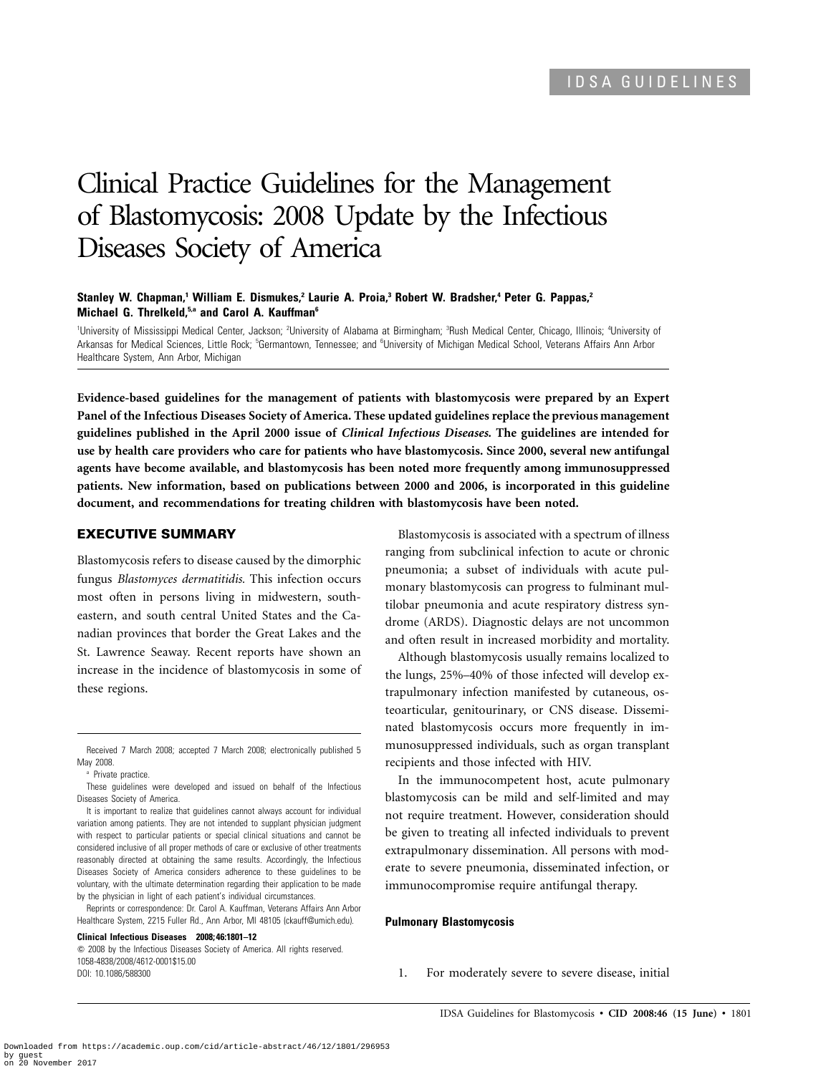# Clinical Practice Guidelines for the Management of Blastomycosis: 2008 Update by the Infectious Diseases Society of America

## **Stanley W. Chapman,<sup>1</sup> William E. Dismukes,<sup>2</sup> Laurie A. Proia,<sup>3</sup> Robert W. Bradsher,<sup>4</sup> Peter G. Pappas,<sup>2</sup> Michael G. Threlkeld,5,a and Carol A. Kauffman6**

<sup>1</sup>University of Mississippi Medical Center, Jackson; <sup>2</sup>University of Alabama at Birmingham; <sup>3</sup>Rush Medical Center, Chicago, Illinois; <sup>4</sup>University of Arkansas for Medical Sciences, Little Rock; <sup>5</sup>Germantown, Tennessee; and <sup>6</sup>University of Michigan Medical School, Veterans Affairs Ann Arbor Healthcare System, Ann Arbor, Michigan

**Evidence-based guidelines for the management of patients with blastomycosis were prepared by an Expert Panel of the Infectious Diseases Society of America. These updated guidelines replace the previous management guidelines published in the April 2000 issue of** *Clinical Infectious Diseases.* **The guidelines are intended for use by health care providers who care for patients who have blastomycosis. Since 2000, several new antifungal agents have become available, and blastomycosis has been noted more frequently among immunosuppressed patients. New information, based on publications between 2000 and 2006, is incorporated in this guideline document, and recommendations for treating children with blastomycosis have been noted.**

### **EXECUTIVE SUMMARY**

Blastomycosis refers to disease caused by the dimorphic fungus *Blastomyces dermatitidis.* This infection occurs most often in persons living in midwestern, southeastern, and south central United States and the Canadian provinces that border the Great Lakes and the St. Lawrence Seaway. Recent reports have shown an increase in the incidence of blastomycosis in some of these regions.

DOI: 10.1086/588300

Reprints or correspondence: Dr. Carol A. Kauffman, Veterans Affairs Ann Arbor Healthcare System, 2215 Fuller Rd., Ann Arbor, MI 48105 (ckauff@umich.edu).

**Clinical Infectious Diseases 2008; 46:1801–12**  $\degree$  2008 by the Infectious Diseases Society of America. All rights reserved. 1058-4838/2008/4612-0001\$15.00

Blastomycosis is associated with a spectrum of illness ranging from subclinical infection to acute or chronic pneumonia; a subset of individuals with acute pulmonary blastomycosis can progress to fulminant multilobar pneumonia and acute respiratory distress syndrome (ARDS). Diagnostic delays are not uncommon and often result in increased morbidity and mortality.

Although blastomycosis usually remains localized to the lungs, 25%–40% of those infected will develop extrapulmonary infection manifested by cutaneous, osteoarticular, genitourinary, or CNS disease. Disseminated blastomycosis occurs more frequently in immunosuppressed individuals, such as organ transplant recipients and those infected with HIV.

In the immunocompetent host, acute pulmonary blastomycosis can be mild and self-limited and may not require treatment. However, consideration should be given to treating all infected individuals to prevent extrapulmonary dissemination. All persons with moderate to severe pneumonia, disseminated infection, or immunocompromise require antifungal therapy.

#### **Pulmonary Blastomycosis**

1. For moderately severe to severe disease, initial

Received 7 March 2008; accepted 7 March 2008; electronically published 5 May 2008.

<sup>&</sup>lt;sup>a</sup> Private practice.

These guidelines were developed and issued on behalf of the Infectious Diseases Society of America.

It is important to realize that guidelines cannot always account for individual variation among patients. They are not intended to supplant physician judgment with respect to particular patients or special clinical situations and cannot be considered inclusive of all proper methods of care or exclusive of other treatments reasonably directed at obtaining the same results. Accordingly, the Infectious Diseases Society of America considers adherence to these guidelines to be voluntary, with the ultimate determination regarding their application to be made by the physician in light of each patient's individual circumstances.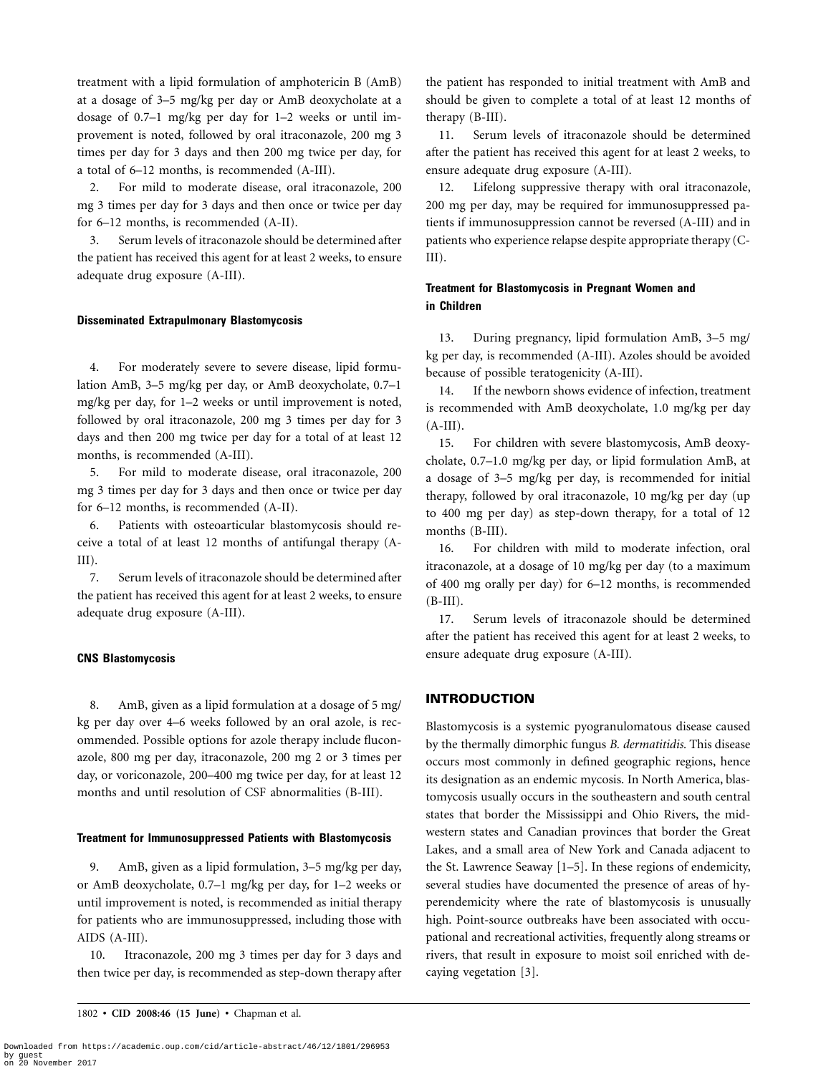treatment with a lipid formulation of amphotericin B (AmB) at a dosage of 3–5 mg/kg per day or AmB deoxycholate at a dosage of 0.7–1 mg/kg per day for 1–2 weeks or until improvement is noted, followed by oral itraconazole, 200 mg 3 times per day for 3 days and then 200 mg twice per day, for a total of 6–12 months, is recommended (A-III).

2. For mild to moderate disease, oral itraconazole, 200 mg 3 times per day for 3 days and then once or twice per day for 6–12 months, is recommended (A-II).

3. Serum levels of itraconazole should be determined after the patient has received this agent for at least 2 weeks, to ensure adequate drug exposure (A-III).

#### **Disseminated Extrapulmonary Blastomycosis**

4. For moderately severe to severe disease, lipid formulation AmB, 3–5 mg/kg per day, or AmB deoxycholate, 0.7–1 mg/kg per day, for 1–2 weeks or until improvement is noted, followed by oral itraconazole, 200 mg 3 times per day for 3 days and then 200 mg twice per day for a total of at least 12 months, is recommended (A-III).

5. For mild to moderate disease, oral itraconazole, 200 mg 3 times per day for 3 days and then once or twice per day for 6–12 months, is recommended (A-II).

Patients with osteoarticular blastomycosis should receive a total of at least 12 months of antifungal therapy (A-III).

7. Serum levels of itraconazole should be determined after the patient has received this agent for at least 2 weeks, to ensure adequate drug exposure (A-III).

#### **CNS Blastomycosis**

8. AmB, given as a lipid formulation at a dosage of 5 mg/ kg per day over 4–6 weeks followed by an oral azole, is recommended. Possible options for azole therapy include fluconazole, 800 mg per day, itraconazole, 200 mg 2 or 3 times per day, or voriconazole, 200–400 mg twice per day, for at least 12 months and until resolution of CSF abnormalities (B-III).

#### **Treatment for Immunosuppressed Patients with Blastomycosis**

9. AmB, given as a lipid formulation, 3–5 mg/kg per day, or AmB deoxycholate, 0.7–1 mg/kg per day, for 1–2 weeks or until improvement is noted, is recommended as initial therapy for patients who are immunosuppressed, including those with AIDS (A-III).

10. Itraconazole, 200 mg 3 times per day for 3 days and then twice per day, is recommended as step-down therapy after the patient has responded to initial treatment with AmB and should be given to complete a total of at least 12 months of therapy (B-III).

11. Serum levels of itraconazole should be determined after the patient has received this agent for at least 2 weeks, to ensure adequate drug exposure (A-III).

12. Lifelong suppressive therapy with oral itraconazole, 200 mg per day, may be required for immunosuppressed patients if immunosuppression cannot be reversed (A-III) and in patients who experience relapse despite appropriate therapy (C-III).

# **Treatment for Blastomycosis in Pregnant Women and in Children**

13. During pregnancy, lipid formulation AmB, 3–5 mg/ kg per day, is recommended (A-III). Azoles should be avoided because of possible teratogenicity (A-III).

14. If the newborn shows evidence of infection, treatment is recommended with AmB deoxycholate, 1.0 mg/kg per day (A-III).

15. For children with severe blastomycosis, AmB deoxycholate, 0.7–1.0 mg/kg per day, or lipid formulation AmB, at a dosage of 3–5 mg/kg per day, is recommended for initial therapy, followed by oral itraconazole, 10 mg/kg per day (up to 400 mg per day) as step-down therapy, for a total of 12 months (B-III).

16. For children with mild to moderate infection, oral itraconazole, at a dosage of 10 mg/kg per day (to a maximum of 400 mg orally per day) for 6–12 months, is recommended  $(B-III).$ 

17. Serum levels of itraconazole should be determined after the patient has received this agent for at least 2 weeks, to ensure adequate drug exposure (A-III).

## **INTRODUCTION**

Blastomycosis is a systemic pyogranulomatous disease caused by the thermally dimorphic fungus *B. dermatitidis.* This disease occurs most commonly in defined geographic regions, hence its designation as an endemic mycosis. In North America, blastomycosis usually occurs in the southeastern and south central states that border the Mississippi and Ohio Rivers, the midwestern states and Canadian provinces that border the Great Lakes, and a small area of New York and Canada adjacent to the St. Lawrence Seaway [1–5]. In these regions of endemicity, several studies have documented the presence of areas of hyperendemicity where the rate of blastomycosis is unusually high. Point-source outbreaks have been associated with occupational and recreational activities, frequently along streams or rivers, that result in exposure to moist soil enriched with decaying vegetation [3].

<sup>1802</sup> • **CID 2008:46 (15 June)** • Chapman et al.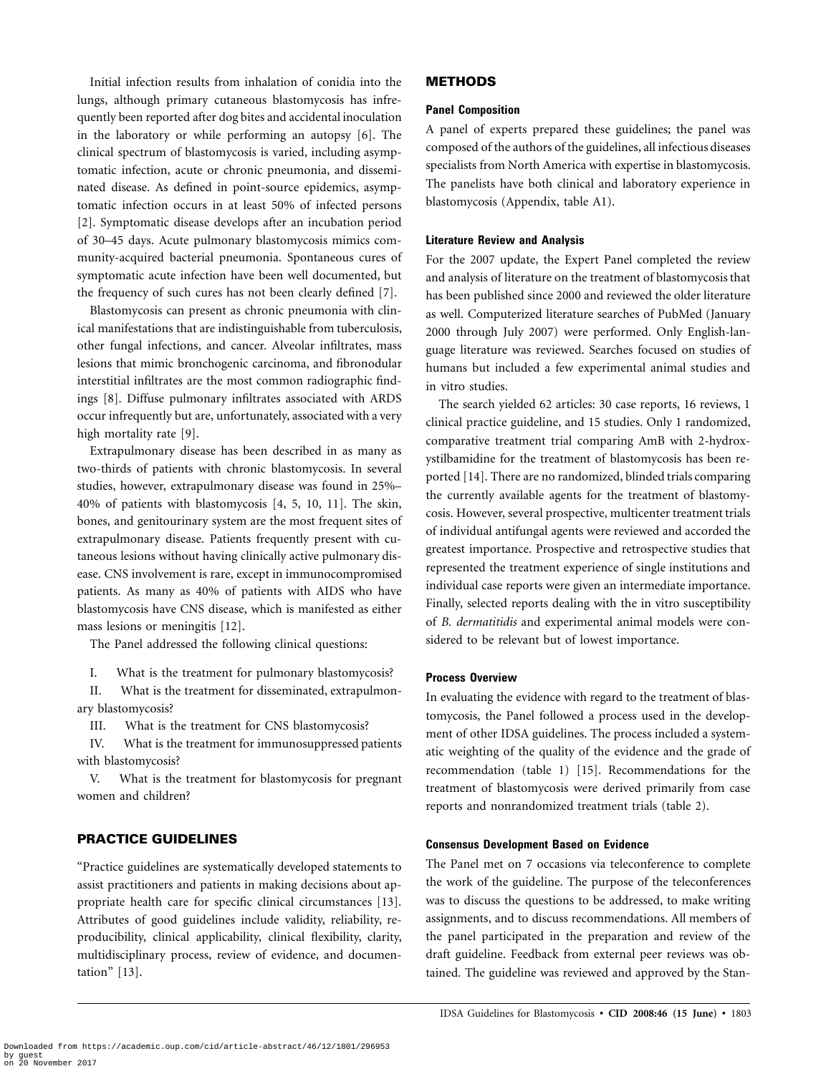Initial infection results from inhalation of conidia into the lungs, although primary cutaneous blastomycosis has infrequently been reported after dog bites and accidental inoculation in the laboratory or while performing an autopsy [6]. The clinical spectrum of blastomycosis is varied, including asymptomatic infection, acute or chronic pneumonia, and disseminated disease. As defined in point-source epidemics, asymptomatic infection occurs in at least 50% of infected persons [2]. Symptomatic disease develops after an incubation period of 30–45 days. Acute pulmonary blastomycosis mimics community-acquired bacterial pneumonia. Spontaneous cures of symptomatic acute infection have been well documented, but the frequency of such cures has not been clearly defined [7].

Blastomycosis can present as chronic pneumonia with clinical manifestations that are indistinguishable from tuberculosis, other fungal infections, and cancer. Alveolar infiltrates, mass lesions that mimic bronchogenic carcinoma, and fibronodular interstitial infiltrates are the most common radiographic findings [8]. Diffuse pulmonary infiltrates associated with ARDS occur infrequently but are, unfortunately, associated with a very high mortality rate [9].

Extrapulmonary disease has been described in as many as two-thirds of patients with chronic blastomycosis. In several studies, however, extrapulmonary disease was found in 25%– 40% of patients with blastomycosis [4, 5, 10, 11]. The skin, bones, and genitourinary system are the most frequent sites of extrapulmonary disease. Patients frequently present with cutaneous lesions without having clinically active pulmonary disease. CNS involvement is rare, except in immunocompromised patients. As many as 40% of patients with AIDS who have blastomycosis have CNS disease, which is manifested as either mass lesions or meningitis [12].

The Panel addressed the following clinical questions:

I. What is the treatment for pulmonary blastomycosis?

II. What is the treatment for disseminated, extrapulmonary blastomycosis?

III. What is the treatment for CNS blastomycosis?

IV. What is the treatment for immunosuppressed patients with blastomycosis?

V. What is the treatment for blastomycosis for pregnant women and children?

# **PRACTICE GUIDELINES**

"Practice guidelines are systematically developed statements to assist practitioners and patients in making decisions about appropriate health care for specific clinical circumstances [13]. Attributes of good guidelines include validity, reliability, reproducibility, clinical applicability, clinical flexibility, clarity, multidisciplinary process, review of evidence, and documentation" [13].

## **METHODS**

## **Panel Composition**

A panel of experts prepared these guidelines; the panel was composed of the authors of the guidelines, all infectious diseases specialists from North America with expertise in blastomycosis. The panelists have both clinical and laboratory experience in blastomycosis (Appendix, table A1).

## **Literature Review and Analysis**

For the 2007 update, the Expert Panel completed the review and analysis of literature on the treatment of blastomycosis that has been published since 2000 and reviewed the older literature as well. Computerized literature searches of PubMed (January 2000 through July 2007) were performed. Only English-language literature was reviewed. Searches focused on studies of humans but included a few experimental animal studies and in vitro studies.

The search yielded 62 articles: 30 case reports, 16 reviews, 1 clinical practice guideline, and 15 studies. Only 1 randomized, comparative treatment trial comparing AmB with 2-hydroxystilbamidine for the treatment of blastomycosis has been reported [14]. There are no randomized, blinded trials comparing the currently available agents for the treatment of blastomycosis. However, several prospective, multicenter treatment trials of individual antifungal agents were reviewed and accorded the greatest importance. Prospective and retrospective studies that represented the treatment experience of single institutions and individual case reports were given an intermediate importance. Finally, selected reports dealing with the in vitro susceptibility of *B. dermatitidis* and experimental animal models were considered to be relevant but of lowest importance.

# **Process Overview**

In evaluating the evidence with regard to the treatment of blastomycosis, the Panel followed a process used in the development of other IDSA guidelines. The process included a systematic weighting of the quality of the evidence and the grade of recommendation (table 1) [15]. Recommendations for the treatment of blastomycosis were derived primarily from case reports and nonrandomized treatment trials (table 2).

## **Consensus Development Based on Evidence**

The Panel met on 7 occasions via teleconference to complete the work of the guideline. The purpose of the teleconferences was to discuss the questions to be addressed, to make writing assignments, and to discuss recommendations. All members of the panel participated in the preparation and review of the draft guideline. Feedback from external peer reviews was obtained. The guideline was reviewed and approved by the Stan-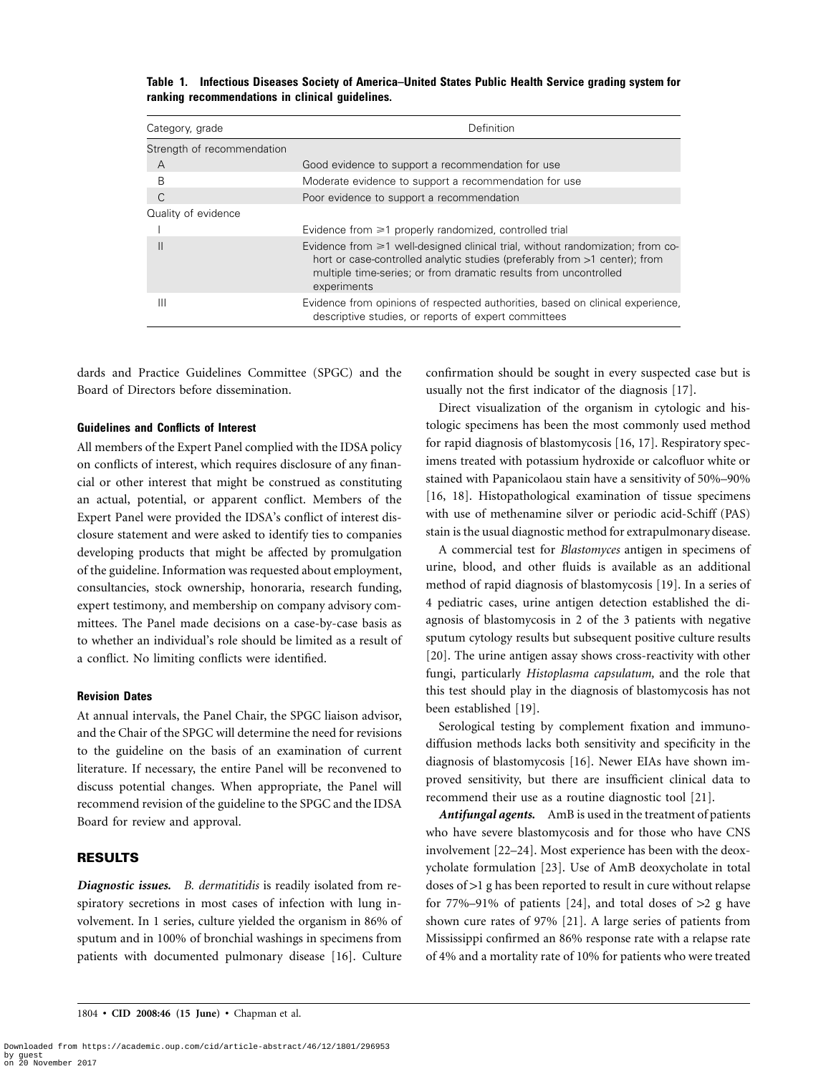**Table 1. Infectious Diseases Society of America–United States Public Health Service grading system for ranking recommendations in clinical guidelines.**

| Category, grade            | Definition                                                                                                                                                                                                                                            |  |  |
|----------------------------|-------------------------------------------------------------------------------------------------------------------------------------------------------------------------------------------------------------------------------------------------------|--|--|
| Strength of recommendation |                                                                                                                                                                                                                                                       |  |  |
| A                          | Good evidence to support a recommendation for use                                                                                                                                                                                                     |  |  |
| B                          | Moderate evidence to support a recommendation for use                                                                                                                                                                                                 |  |  |
| C                          | Poor evidence to support a recommendation                                                                                                                                                                                                             |  |  |
| Quality of evidence        |                                                                                                                                                                                                                                                       |  |  |
|                            | Evidence from $\geq 1$ properly randomized, controlled trial                                                                                                                                                                                          |  |  |
|                            | Evidence from $\geq 1$ well-designed clinical trial, without randomization; from co-<br>hort or case-controlled analytic studies (preferably from >1 center); from<br>multiple time-series; or from dramatic results from uncontrolled<br>experiments |  |  |
| Ш                          | Evidence from opinions of respected authorities, based on clinical experience,<br>descriptive studies, or reports of expert committees                                                                                                                |  |  |

dards and Practice Guidelines Committee (SPGC) and the Board of Directors before dissemination.

# **Guidelines and Conflicts of Interest**

All members of the Expert Panel complied with the IDSA policy on conflicts of interest, which requires disclosure of any financial or other interest that might be construed as constituting an actual, potential, or apparent conflict. Members of the Expert Panel were provided the IDSA's conflict of interest disclosure statement and were asked to identify ties to companies developing products that might be affected by promulgation of the guideline. Information was requested about employment, consultancies, stock ownership, honoraria, research funding, expert testimony, and membership on company advisory committees. The Panel made decisions on a case-by-case basis as to whether an individual's role should be limited as a result of a conflict. No limiting conflicts were identified.

#### **Revision Dates**

At annual intervals, the Panel Chair, the SPGC liaison advisor, and the Chair of the SPGC will determine the need for revisions to the guideline on the basis of an examination of current literature. If necessary, the entire Panel will be reconvened to discuss potential changes. When appropriate, the Panel will recommend revision of the guideline to the SPGC and the IDSA Board for review and approval.

## **RESULTS**

*Diagnostic issues. B. dermatitidis* is readily isolated from respiratory secretions in most cases of infection with lung involvement. In 1 series, culture yielded the organism in 86% of sputum and in 100% of bronchial washings in specimens from patients with documented pulmonary disease [16]. Culture confirmation should be sought in every suspected case but is usually not the first indicator of the diagnosis [17].

Direct visualization of the organism in cytologic and histologic specimens has been the most commonly used method for rapid diagnosis of blastomycosis [16, 17]. Respiratory specimens treated with potassium hydroxide or calcofluor white or stained with Papanicolaou stain have a sensitivity of 50%–90% [16, 18]. Histopathological examination of tissue specimens with use of methenamine silver or periodic acid-Schiff (PAS) stain is the usual diagnostic method for extrapulmonary disease.

A commercial test for *Blastomyces* antigen in specimens of urine, blood, and other fluids is available as an additional method of rapid diagnosis of blastomycosis [19]. In a series of 4 pediatric cases, urine antigen detection established the diagnosis of blastomycosis in 2 of the 3 patients with negative sputum cytology results but subsequent positive culture results [20]. The urine antigen assay shows cross-reactivity with other fungi, particularly *Histoplasma capsulatum,* and the role that this test should play in the diagnosis of blastomycosis has not been established [19].

Serological testing by complement fixation and immunodiffusion methods lacks both sensitivity and specificity in the diagnosis of blastomycosis [16]. Newer EIAs have shown improved sensitivity, but there are insufficient clinical data to recommend their use as a routine diagnostic tool [21].

*Antifungal agents.* AmB is used in the treatment of patients who have severe blastomycosis and for those who have CNS involvement [22–24]. Most experience has been with the deoxycholate formulation [23]. Use of AmB deoxycholate in total doses of  $>1$  g has been reported to result in cure without relapse for 77%–91% of patients [24], and total doses of  $>2$  g have shown cure rates of 97% [21]. A large series of patients from Mississippi confirmed an 86% response rate with a relapse rate of 4% and a mortality rate of 10% for patients who were treated

Downloaded from https://academic.oup.com/cid/article-abstract/46/12/1801/296953 by guest on 20 November 2017

<sup>1804</sup> • **CID 2008:46 (15 June)** • Chapman et al.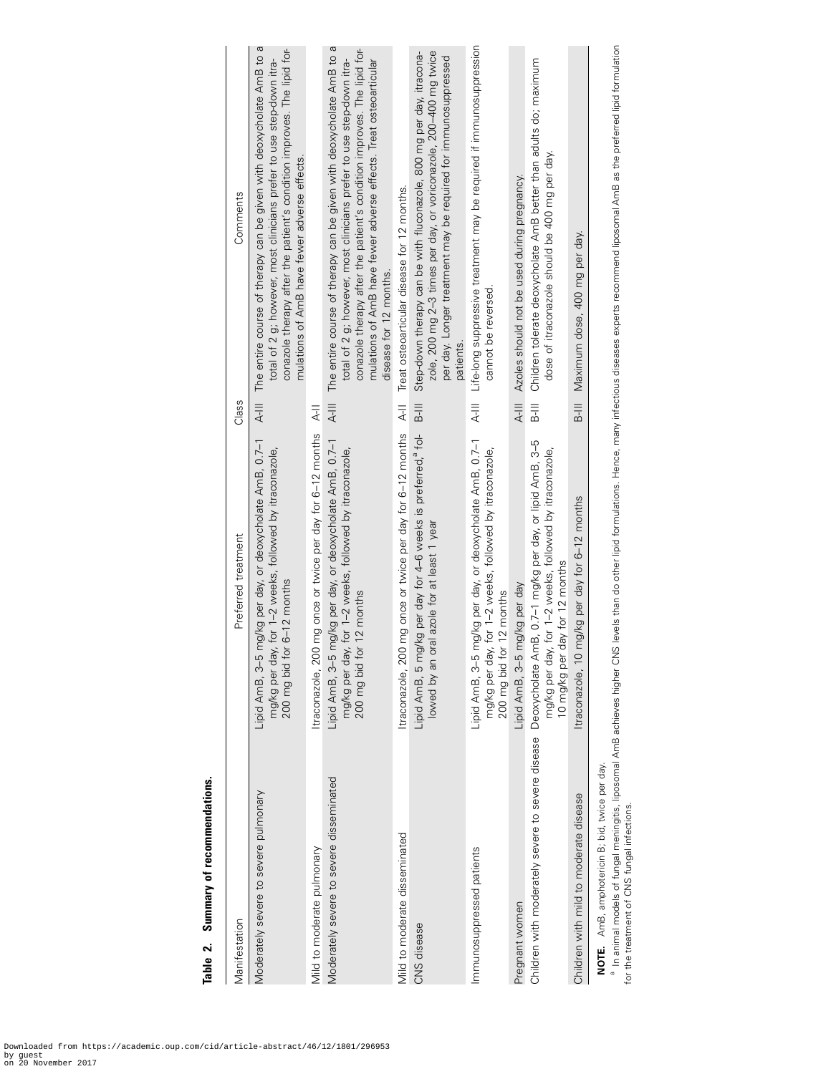| Manifestation                            | Preferred treatment                                                                                                                                                                                     | Class              | Comments                                                                                                                                                                                                                                                                                                               |  |
|------------------------------------------|---------------------------------------------------------------------------------------------------------------------------------------------------------------------------------------------------------|--------------------|------------------------------------------------------------------------------------------------------------------------------------------------------------------------------------------------------------------------------------------------------------------------------------------------------------------------|--|
| Moderately severe to severe pulmonary    | Lipid AmB, 3-5 mg/kg per day, or deoxycholate AmB, 0.7-1<br>mg/kg per day, for 1–2 weeks, followed by itraconazole,<br>200 mg bid for 6–12 months                                                       | $\equiv$<br>$\neq$ | The entire course of therapy can be given with deoxycholate AmB to a<br>conazole therapy after the patient's condition improves. The lipid for-<br>total of 2 g; however, most clinicians prefer to use step-down itra-<br>mulations of AmB have fewer adverse effects.                                                |  |
| Mild to moderate pulmonary               | Itraconazole, 200 mg once or twice per day for 6-12 months                                                                                                                                              | $\bar{=}$          |                                                                                                                                                                                                                                                                                                                        |  |
| Moderately severe to severe disseminated | Lipid AmB, 3-5 mg/kg per day, or deoxycholate AmB, 0.7-1<br>mg/kg per day, for 1-2 weeks, followed by itraconazole,<br>12 months<br>200 mg bid for                                                      | $rac{1}{4}$        | The entire course of therapy can be given with deoxycholate AmB to a<br>conazole therapy after the patient's condition improves. The lipid for-<br>total of 2 g; however, most clinicians prefer to use step-down itra-<br>mulations of AmB have fewer adverse effects. Treat osteoarticular<br>disease for 12 months. |  |
| Mild to moderate disseminated            | Itraconazole, 200 mg once or twice per day for 6-12 months                                                                                                                                              | $\bar{=}$          | Treat osteoarticular disease for 12 months.                                                                                                                                                                                                                                                                            |  |
| CNS disease                              | Lipid AmB, 5 mg/kg per day for 4-6 weeks is preferred, <sup>9</sup> fol-<br>lowed by an oral azole for at least 1 year                                                                                  | $\equiv$           | zole, 200 mg 2-3 times per day, or voriconazole, 200-400 mg twice<br>Step-down therapy can be with fluconazole, 800 mg per day, itracona-<br>per day. Longer treatment may be required for immunosuppressed<br>patients.                                                                                               |  |
| Immunosuppressed patients                | Lipid AmB, 3-5 mg/kg per day, or deoxycholate AmB, 0.7-1<br>mg/kg per day, for 1–2 weeks, followed by itraconazole,<br>200 mg bid for 12 months                                                         | $\frac{1}{4}$      | Life-long suppressive treatment may be required if immunosuppression<br>cannot be reversed.                                                                                                                                                                                                                            |  |
| Pregnant women                           | Lipid AmB, 3-5 mg/kg per day                                                                                                                                                                            | $rac{1}{4}$        | Azoles should not be used during pregnancy.                                                                                                                                                                                                                                                                            |  |
|                                          | Children with moderately severe to severe disease Deoxycholate AmB, 0.7-1 mg/kg per day, or lipid AmB, 3-5<br>mg/kg per day, for 1-2 weeks, followed by itraconazole,<br>10 mg/kg per day for 12 months | $\equiv$           | Children tolerate deoxycholate AmB better than adults do; maximum<br>dose of itraconazole should be 400 mg per day.                                                                                                                                                                                                    |  |
| Children with mild to moderate disease   | Itraconazole, 10 mg/kg per day for 6-12 months                                                                                                                                                          |                    | B-III Maximum dose, 400 mg per day.                                                                                                                                                                                                                                                                                    |  |

NOTE. AmB, amphotericin B; bid, twice per day. **NOTE.** AmB, amphotericin B; bid, twice per day.

<sup>a</sup> In animal models of fungal meningitis, liposomal AmB achieves higher CNS levels than do other lipid formulations. Hence, many infectious diseases experts recommend liposomal AmB as the preferred lipid formulation<br>for t In animal models of fungal meningitis, liposomal AmB achieves higher CNS levels than do other lipid formulations. Hence, many infectious diseases experts recommend liposomal AmB as the preferred lipid formulation for the treatment of CNS fungal infections.

**Table 2. Summary of recommendations.**

Table 2. Summary of recommendations.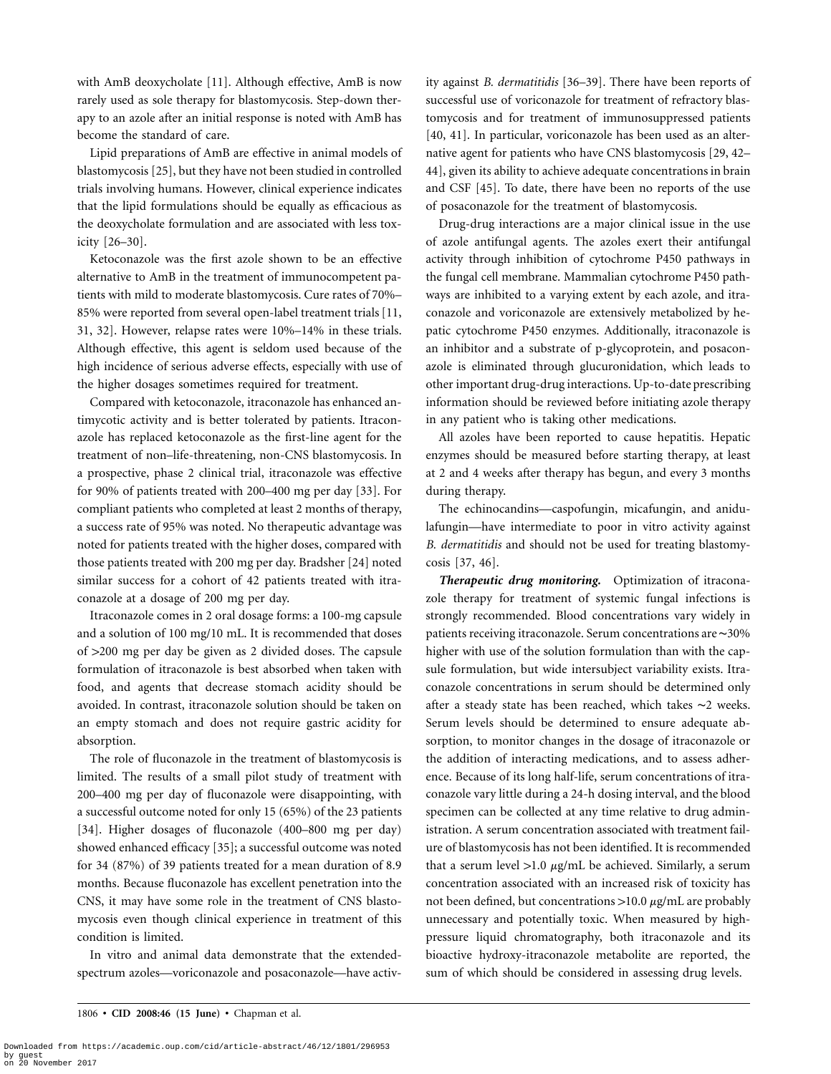with AmB deoxycholate [11]. Although effective, AmB is now rarely used as sole therapy for blastomycosis. Step-down therapy to an azole after an initial response is noted with AmB has become the standard of care.

Lipid preparations of AmB are effective in animal models of blastomycosis [25], but they have not been studied in controlled trials involving humans. However, clinical experience indicates that the lipid formulations should be equally as efficacious as the deoxycholate formulation and are associated with less toxicity [26–30].

Ketoconazole was the first azole shown to be an effective alternative to AmB in the treatment of immunocompetent patients with mild to moderate blastomycosis. Cure rates of 70%– 85% were reported from several open-label treatment trials [11, 31, 32]. However, relapse rates were 10%–14% in these trials. Although effective, this agent is seldom used because of the high incidence of serious adverse effects, especially with use of the higher dosages sometimes required for treatment.

Compared with ketoconazole, itraconazole has enhanced antimycotic activity and is better tolerated by patients. Itraconazole has replaced ketoconazole as the first-line agent for the treatment of non–life-threatening, non-CNS blastomycosis. In a prospective, phase 2 clinical trial, itraconazole was effective for 90% of patients treated with 200–400 mg per day [33]. For compliant patients who completed at least 2 months of therapy, a success rate of 95% was noted. No therapeutic advantage was noted for patients treated with the higher doses, compared with those patients treated with 200 mg per day. Bradsher [24] noted similar success for a cohort of 42 patients treated with itraconazole at a dosage of 200 mg per day.

Itraconazole comes in 2 oral dosage forms: a 100-mg capsule and a solution of 100 mg/10 mL. It is recommended that doses of 1200 mg per day be given as 2 divided doses. The capsule formulation of itraconazole is best absorbed when taken with food, and agents that decrease stomach acidity should be avoided. In contrast, itraconazole solution should be taken on an empty stomach and does not require gastric acidity for absorption.

The role of fluconazole in the treatment of blastomycosis is limited. The results of a small pilot study of treatment with 200–400 mg per day of fluconazole were disappointing, with a successful outcome noted for only 15 (65%) of the 23 patients [34]. Higher dosages of fluconazole (400–800 mg per day) showed enhanced efficacy [35]; a successful outcome was noted for 34 (87%) of 39 patients treated for a mean duration of 8.9 months. Because fluconazole has excellent penetration into the CNS, it may have some role in the treatment of CNS blastomycosis even though clinical experience in treatment of this condition is limited.

In vitro and animal data demonstrate that the extendedspectrum azoles—voriconazole and posaconazole—have activity against *B. dermatitidis* [36–39]. There have been reports of successful use of voriconazole for treatment of refractory blastomycosis and for treatment of immunosuppressed patients [40, 41]. In particular, voriconazole has been used as an alternative agent for patients who have CNS blastomycosis [29, 42– 44], given its ability to achieve adequate concentrations in brain and CSF [45]. To date, there have been no reports of the use of posaconazole for the treatment of blastomycosis.

Drug-drug interactions are a major clinical issue in the use of azole antifungal agents. The azoles exert their antifungal activity through inhibition of cytochrome P450 pathways in the fungal cell membrane. Mammalian cytochrome P450 pathways are inhibited to a varying extent by each azole, and itraconazole and voriconazole are extensively metabolized by hepatic cytochrome P450 enzymes. Additionally, itraconazole is an inhibitor and a substrate of p-glycoprotein, and posaconazole is eliminated through glucuronidation, which leads to other important drug-drug interactions. Up-to-date prescribing information should be reviewed before initiating azole therapy in any patient who is taking other medications.

All azoles have been reported to cause hepatitis. Hepatic enzymes should be measured before starting therapy, at least at 2 and 4 weeks after therapy has begun, and every 3 months during therapy.

The echinocandins—caspofungin, micafungin, and anidulafungin—have intermediate to poor in vitro activity against *B. dermatitidis* and should not be used for treating blastomycosis [37, 46].

*Therapeutic drug monitoring.* Optimization of itraconazole therapy for treatment of systemic fungal infections is strongly recommended. Blood concentrations vary widely in patients receiving itraconazole. Serum concentrations are∼30% higher with use of the solution formulation than with the capsule formulation, but wide intersubject variability exists. Itraconazole concentrations in serum should be determined only after a steady state has been reached, which takes ∼2 weeks. Serum levels should be determined to ensure adequate absorption, to monitor changes in the dosage of itraconazole or the addition of interacting medications, and to assess adherence. Because of its long half-life, serum concentrations of itraconazole vary little during a 24-h dosing interval, and the blood specimen can be collected at any time relative to drug administration. A serum concentration associated with treatment failure of blastomycosis has not been identified. It is recommended that a serum level  $>1.0 \mu g/mL$  be achieved. Similarly, a serum concentration associated with an increased risk of toxicity has not been defined, but concentrations  $>10.0 \mu g/mL$  are probably unnecessary and potentially toxic. When measured by highpressure liquid chromatography, both itraconazole and its bioactive hydroxy-itraconazole metabolite are reported, the sum of which should be considered in assessing drug levels.

<sup>1806</sup> • **CID 2008:46 (15 June)** • Chapman et al.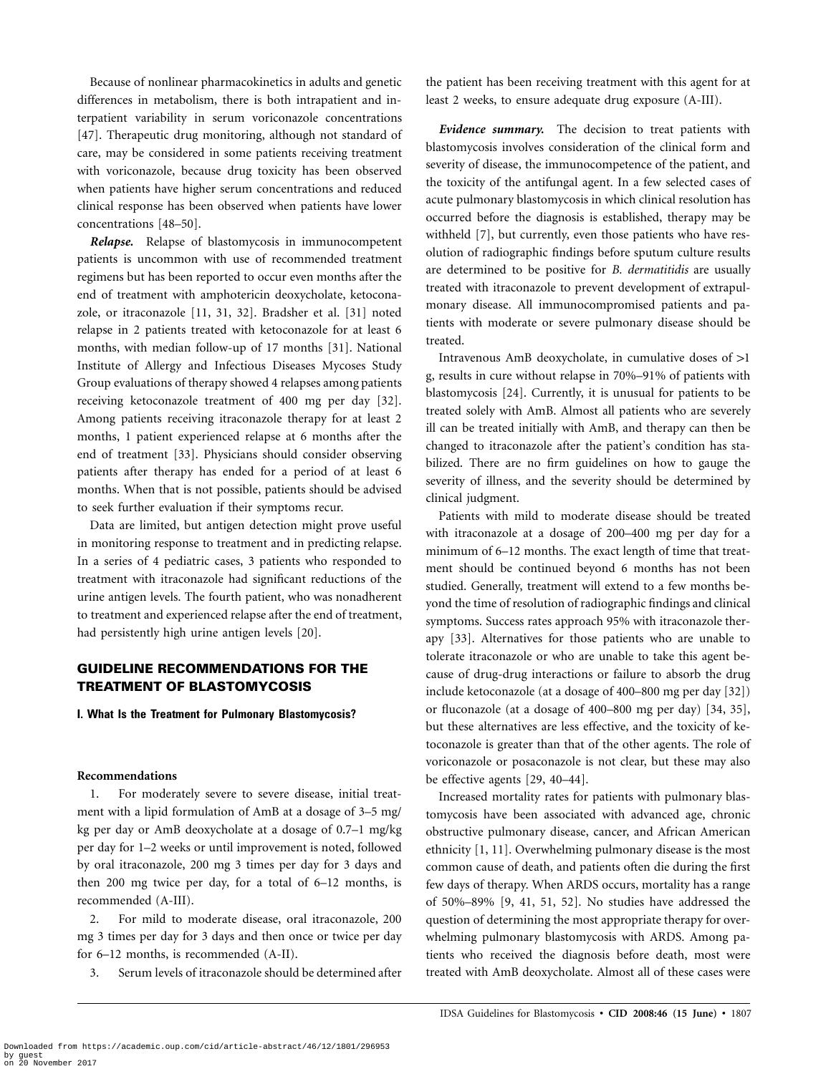Because of nonlinear pharmacokinetics in adults and genetic differences in metabolism, there is both intrapatient and interpatient variability in serum voriconazole concentrations [47]. Therapeutic drug monitoring, although not standard of care, may be considered in some patients receiving treatment with voriconazole, because drug toxicity has been observed when patients have higher serum concentrations and reduced clinical response has been observed when patients have lower concentrations [48–50].

*Relapse.* Relapse of blastomycosis in immunocompetent patients is uncommon with use of recommended treatment regimens but has been reported to occur even months after the end of treatment with amphotericin deoxycholate, ketoconazole, or itraconazole [11, 31, 32]. Bradsher et al. [31] noted relapse in 2 patients treated with ketoconazole for at least 6 months, with median follow-up of 17 months [31]. National Institute of Allergy and Infectious Diseases Mycoses Study Group evaluations of therapy showed 4 relapses among patients receiving ketoconazole treatment of 400 mg per day [32]. Among patients receiving itraconazole therapy for at least 2 months, 1 patient experienced relapse at 6 months after the end of treatment [33]. Physicians should consider observing patients after therapy has ended for a period of at least 6 months. When that is not possible, patients should be advised to seek further evaluation if their symptoms recur.

Data are limited, but antigen detection might prove useful in monitoring response to treatment and in predicting relapse. In a series of 4 pediatric cases, 3 patients who responded to treatment with itraconazole had significant reductions of the urine antigen levels. The fourth patient, who was nonadherent to treatment and experienced relapse after the end of treatment, had persistently high urine antigen levels [20].

# **GUIDELINE RECOMMENDATIONS FOR THE TREATMENT OF BLASTOMYCOSIS**

**I. What Is the Treatment for Pulmonary Blastomycosis?**

#### **Recommendations**

1. For moderately severe to severe disease, initial treatment with a lipid formulation of AmB at a dosage of 3–5 mg/ kg per day or AmB deoxycholate at a dosage of 0.7–1 mg/kg per day for 1–2 weeks or until improvement is noted, followed by oral itraconazole, 200 mg 3 times per day for 3 days and then 200 mg twice per day, for a total of 6–12 months, is recommended (A-III).

2. For mild to moderate disease, oral itraconazole, 200 mg 3 times per day for 3 days and then once or twice per day for 6–12 months, is recommended (A-II).

3. Serum levels of itraconazole should be determined after

the patient has been receiving treatment with this agent for at least 2 weeks, to ensure adequate drug exposure (A-III).

*Evidence summary.* The decision to treat patients with blastomycosis involves consideration of the clinical form and severity of disease, the immunocompetence of the patient, and the toxicity of the antifungal agent. In a few selected cases of acute pulmonary blastomycosis in which clinical resolution has occurred before the diagnosis is established, therapy may be withheld [7], but currently, even those patients who have resolution of radiographic findings before sputum culture results are determined to be positive for *B. dermatitidis* are usually treated with itraconazole to prevent development of extrapulmonary disease. All immunocompromised patients and patients with moderate or severe pulmonary disease should be treated.

Intravenous AmB deoxycholate, in cumulative doses of  $>1$ g, results in cure without relapse in 70%–91% of patients with blastomycosis [24]. Currently, it is unusual for patients to be treated solely with AmB. Almost all patients who are severely ill can be treated initially with AmB, and therapy can then be changed to itraconazole after the patient's condition has stabilized. There are no firm guidelines on how to gauge the severity of illness, and the severity should be determined by clinical judgment.

Patients with mild to moderate disease should be treated with itraconazole at a dosage of 200–400 mg per day for a minimum of 6–12 months. The exact length of time that treatment should be continued beyond 6 months has not been studied. Generally, treatment will extend to a few months beyond the time of resolution of radiographic findings and clinical symptoms. Success rates approach 95% with itraconazole therapy [33]. Alternatives for those patients who are unable to tolerate itraconazole or who are unable to take this agent because of drug-drug interactions or failure to absorb the drug include ketoconazole (at a dosage of 400–800 mg per day [32]) or fluconazole (at a dosage of 400–800 mg per day) [34, 35], but these alternatives are less effective, and the toxicity of ketoconazole is greater than that of the other agents. The role of voriconazole or posaconazole is not clear, but these may also be effective agents [29, 40–44].

Increased mortality rates for patients with pulmonary blastomycosis have been associated with advanced age, chronic obstructive pulmonary disease, cancer, and African American ethnicity [1, 11]. Overwhelming pulmonary disease is the most common cause of death, and patients often die during the first few days of therapy. When ARDS occurs, mortality has a range of 50%–89% [9, 41, 51, 52]. No studies have addressed the question of determining the most appropriate therapy for overwhelming pulmonary blastomycosis with ARDS. Among patients who received the diagnosis before death, most were treated with AmB deoxycholate. Almost all of these cases were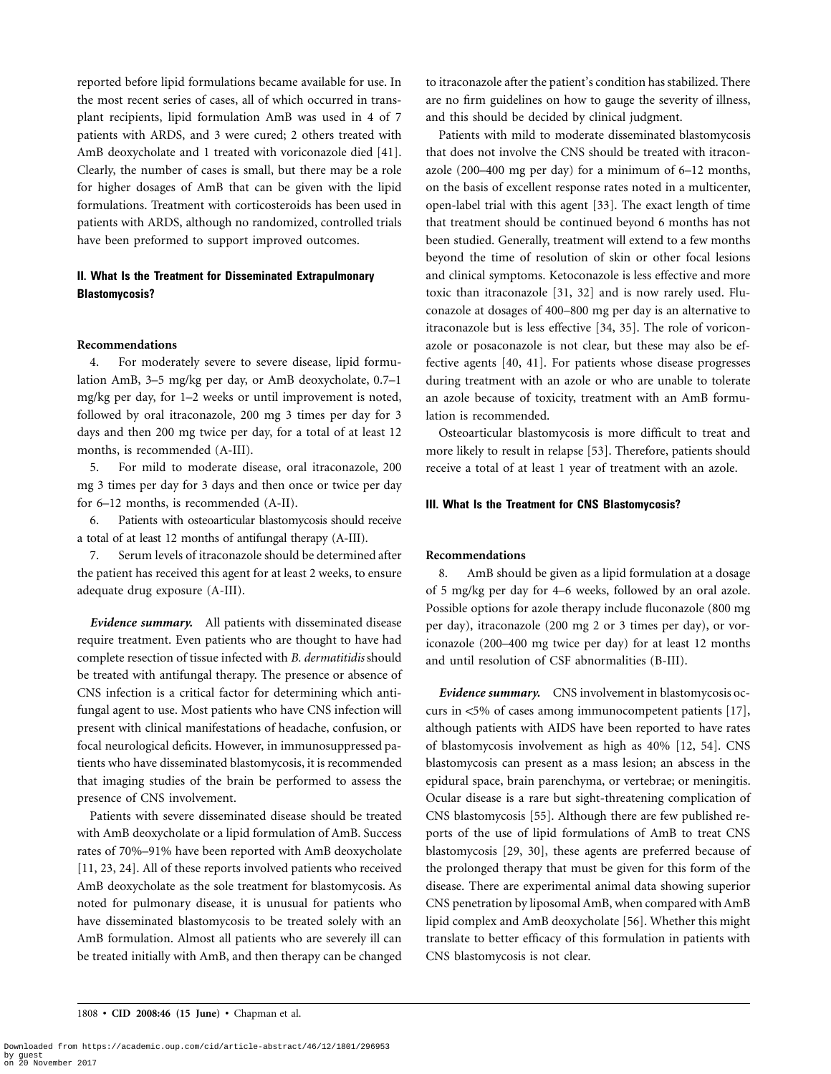reported before lipid formulations became available for use. In the most recent series of cases, all of which occurred in transplant recipients, lipid formulation AmB was used in 4 of 7 patients with ARDS, and 3 were cured; 2 others treated with AmB deoxycholate and 1 treated with voriconazole died [41]. Clearly, the number of cases is small, but there may be a role for higher dosages of AmB that can be given with the lipid formulations. Treatment with corticosteroids has been used in patients with ARDS, although no randomized, controlled trials have been preformed to support improved outcomes.

# **II. What Is the Treatment for Disseminated Extrapulmonary Blastomycosis?**

## **Recommendations**

4. For moderately severe to severe disease, lipid formulation AmB, 3–5 mg/kg per day, or AmB deoxycholate, 0.7–1 mg/kg per day, for 1–2 weeks or until improvement is noted, followed by oral itraconazole, 200 mg 3 times per day for 3 days and then 200 mg twice per day, for a total of at least 12 months, is recommended (A-III).

5. For mild to moderate disease, oral itraconazole, 200 mg 3 times per day for 3 days and then once or twice per day for 6–12 months, is recommended (A-II).

6. Patients with osteoarticular blastomycosis should receive a total of at least 12 months of antifungal therapy (A-III).

7. Serum levels of itraconazole should be determined after the patient has received this agent for at least 2 weeks, to ensure adequate drug exposure (A-III).

*Evidence summary.* All patients with disseminated disease require treatment. Even patients who are thought to have had complete resection of tissue infected with *B. dermatitidis* should be treated with antifungal therapy. The presence or absence of CNS infection is a critical factor for determining which antifungal agent to use. Most patients who have CNS infection will present with clinical manifestations of headache, confusion, or focal neurological deficits. However, in immunosuppressed patients who have disseminated blastomycosis, it is recommended that imaging studies of the brain be performed to assess the presence of CNS involvement.

Patients with severe disseminated disease should be treated with AmB deoxycholate or a lipid formulation of AmB. Success rates of 70%–91% have been reported with AmB deoxycholate [11, 23, 24]. All of these reports involved patients who received AmB deoxycholate as the sole treatment for blastomycosis. As noted for pulmonary disease, it is unusual for patients who have disseminated blastomycosis to be treated solely with an AmB formulation. Almost all patients who are severely ill can be treated initially with AmB, and then therapy can be changed to itraconazole after the patient's condition has stabilized. There are no firm guidelines on how to gauge the severity of illness, and this should be decided by clinical judgment.

Patients with mild to moderate disseminated blastomycosis that does not involve the CNS should be treated with itraconazole (200–400 mg per day) for a minimum of 6–12 months, on the basis of excellent response rates noted in a multicenter, open-label trial with this agent [33]. The exact length of time that treatment should be continued beyond 6 months has not been studied. Generally, treatment will extend to a few months beyond the time of resolution of skin or other focal lesions and clinical symptoms. Ketoconazole is less effective and more toxic than itraconazole [31, 32] and is now rarely used. Fluconazole at dosages of 400–800 mg per day is an alternative to itraconazole but is less effective [34, 35]. The role of voriconazole or posaconazole is not clear, but these may also be effective agents [40, 41]. For patients whose disease progresses during treatment with an azole or who are unable to tolerate an azole because of toxicity, treatment with an AmB formulation is recommended.

Osteoarticular blastomycosis is more difficult to treat and more likely to result in relapse [53]. Therefore, patients should receive a total of at least 1 year of treatment with an azole.

#### **III. What Is the Treatment for CNS Blastomycosis?**

## **Recommendations**

8. AmB should be given as a lipid formulation at a dosage of 5 mg/kg per day for 4–6 weeks, followed by an oral azole. Possible options for azole therapy include fluconazole (800 mg per day), itraconazole (200 mg 2 or 3 times per day), or voriconazole (200–400 mg twice per day) for at least 12 months and until resolution of CSF abnormalities (B-III).

*Evidence summary.* CNS involvement in blastomycosis occurs in <5% of cases among immunocompetent patients [17], although patients with AIDS have been reported to have rates of blastomycosis involvement as high as 40% [12, 54]. CNS blastomycosis can present as a mass lesion; an abscess in the epidural space, brain parenchyma, or vertebrae; or meningitis. Ocular disease is a rare but sight-threatening complication of CNS blastomycosis [55]. Although there are few published reports of the use of lipid formulations of AmB to treat CNS blastomycosis [29, 30], these agents are preferred because of the prolonged therapy that must be given for this form of the disease. There are experimental animal data showing superior CNS penetration by liposomal AmB, when compared with AmB lipid complex and AmB deoxycholate [56]. Whether this might translate to better efficacy of this formulation in patients with CNS blastomycosis is not clear.

<sup>1808</sup> • **CID 2008:46 (15 June)** • Chapman et al.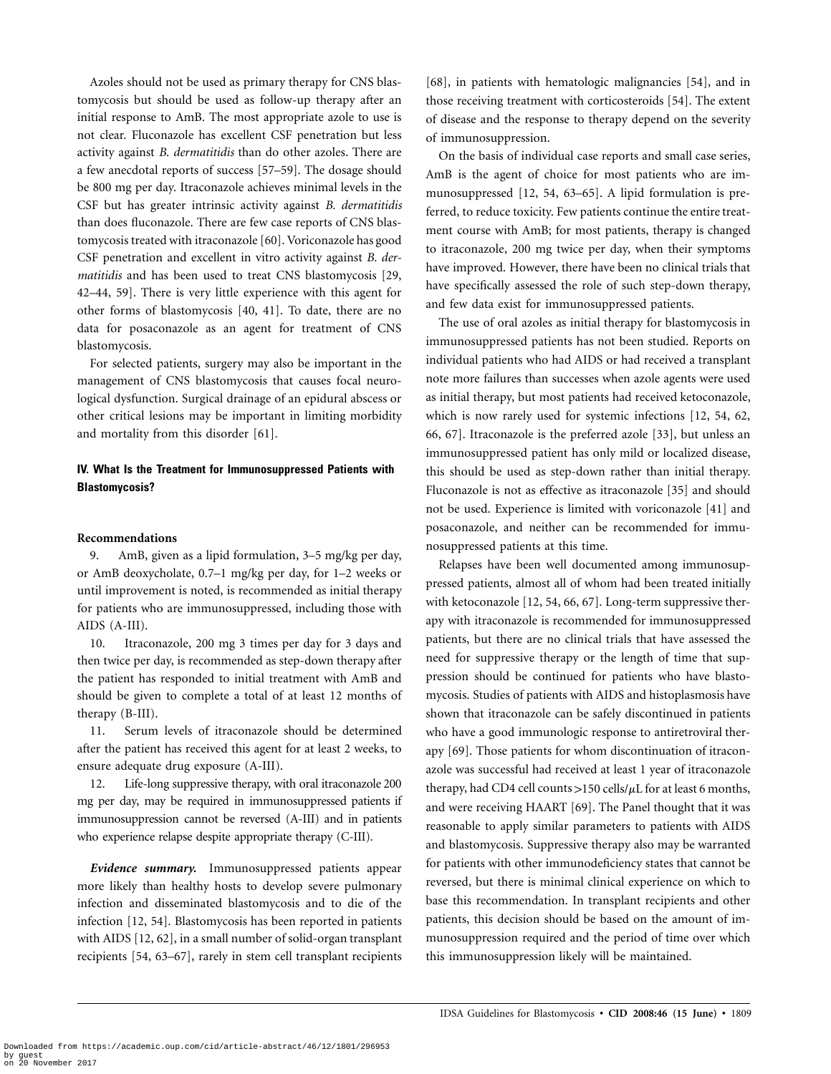Azoles should not be used as primary therapy for CNS blastomycosis but should be used as follow-up therapy after an initial response to AmB. The most appropriate azole to use is not clear. Fluconazole has excellent CSF penetration but less activity against *B. dermatitidis* than do other azoles. There are a few anecdotal reports of success [57–59]. The dosage should be 800 mg per day. Itraconazole achieves minimal levels in the CSF but has greater intrinsic activity against *B. dermatitidis* than does fluconazole. There are few case reports of CNS blastomycosis treated with itraconazole [60]. Voriconazole has good CSF penetration and excellent in vitro activity against *B. dermatitidis* and has been used to treat CNS blastomycosis [29, 42–44, 59]. There is very little experience with this agent for other forms of blastomycosis [40, 41]. To date, there are no data for posaconazole as an agent for treatment of CNS blastomycosis.

For selected patients, surgery may also be important in the management of CNS blastomycosis that causes focal neurological dysfunction. Surgical drainage of an epidural abscess or other critical lesions may be important in limiting morbidity and mortality from this disorder [61].

# **IV. What Is the Treatment for Immunosuppressed Patients with Blastomycosis?**

## **Recommendations**

9. AmB, given as a lipid formulation, 3–5 mg/kg per day, or AmB deoxycholate, 0.7–1 mg/kg per day, for 1–2 weeks or until improvement is noted, is recommended as initial therapy for patients who are immunosuppressed, including those with AIDS (A-III).

10. Itraconazole, 200 mg 3 times per day for 3 days and then twice per day, is recommended as step-down therapy after the patient has responded to initial treatment with AmB and should be given to complete a total of at least 12 months of therapy (B-III).

11. Serum levels of itraconazole should be determined after the patient has received this agent for at least 2 weeks, to ensure adequate drug exposure (A-III).

12. Life-long suppressive therapy, with oral itraconazole 200 mg per day, may be required in immunosuppressed patients if immunosuppression cannot be reversed (A-III) and in patients who experience relapse despite appropriate therapy (C-III).

*Evidence summary.* Immunosuppressed patients appear more likely than healthy hosts to develop severe pulmonary infection and disseminated blastomycosis and to die of the infection [12, 54]. Blastomycosis has been reported in patients with AIDS [12, 62], in a small number of solid-organ transplant recipients [54, 63–67], rarely in stem cell transplant recipients [68], in patients with hematologic malignancies [54], and in those receiving treatment with corticosteroids [54]. The extent of disease and the response to therapy depend on the severity of immunosuppression.

On the basis of individual case reports and small case series, AmB is the agent of choice for most patients who are immunosuppressed [12, 54, 63–65]. A lipid formulation is preferred, to reduce toxicity. Few patients continue the entire treatment course with AmB; for most patients, therapy is changed to itraconazole, 200 mg twice per day, when their symptoms have improved. However, there have been no clinical trials that have specifically assessed the role of such step-down therapy, and few data exist for immunosuppressed patients.

The use of oral azoles as initial therapy for blastomycosis in immunosuppressed patients has not been studied. Reports on individual patients who had AIDS or had received a transplant note more failures than successes when azole agents were used as initial therapy, but most patients had received ketoconazole, which is now rarely used for systemic infections [12, 54, 62, 66, 67]. Itraconazole is the preferred azole [33], but unless an immunosuppressed patient has only mild or localized disease, this should be used as step-down rather than initial therapy. Fluconazole is not as effective as itraconazole [35] and should not be used. Experience is limited with voriconazole [41] and posaconazole, and neither can be recommended for immunosuppressed patients at this time.

Relapses have been well documented among immunosuppressed patients, almost all of whom had been treated initially with ketoconazole [12, 54, 66, 67]. Long-term suppressive therapy with itraconazole is recommended for immunosuppressed patients, but there are no clinical trials that have assessed the need for suppressive therapy or the length of time that suppression should be continued for patients who have blastomycosis. Studies of patients with AIDS and histoplasmosis have shown that itraconazole can be safely discontinued in patients who have a good immunologic response to antiretroviral therapy [69]. Those patients for whom discontinuation of itraconazole was successful had received at least 1 year of itraconazole therapy, had CD4 cell counts >150 cells/ $\mu$ L for at least 6 months, and were receiving HAART [69]. The Panel thought that it was reasonable to apply similar parameters to patients with AIDS and blastomycosis. Suppressive therapy also may be warranted for patients with other immunodeficiency states that cannot be reversed, but there is minimal clinical experience on which to base this recommendation. In transplant recipients and other patients, this decision should be based on the amount of immunosuppression required and the period of time over which this immunosuppression likely will be maintained.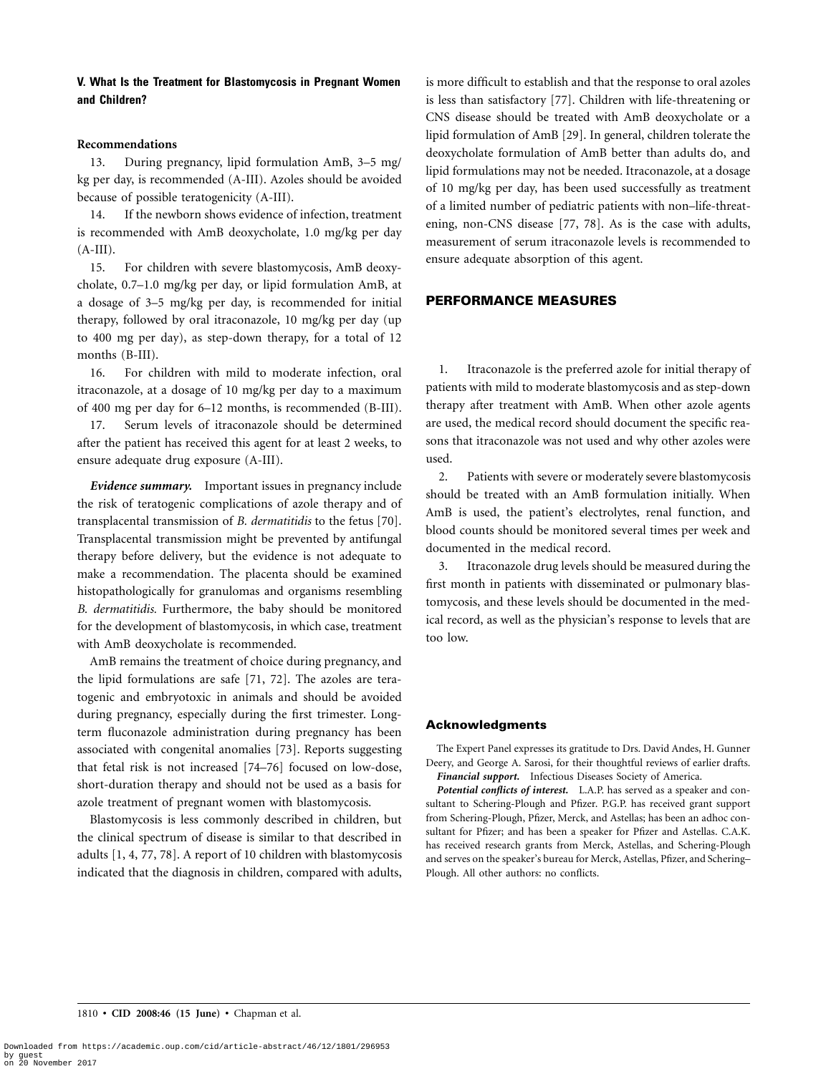# **V. What Is the Treatment for Blastomycosis in Pregnant Women and Children?**

## **Recommendations**

13. During pregnancy, lipid formulation AmB, 3–5 mg/ kg per day, is recommended (A-III). Azoles should be avoided because of possible teratogenicity (A-III).

14. If the newborn shows evidence of infection, treatment is recommended with AmB deoxycholate, 1.0 mg/kg per day  $(A-III)$ .

15. For children with severe blastomycosis, AmB deoxycholate, 0.7–1.0 mg/kg per day, or lipid formulation AmB, at a dosage of 3–5 mg/kg per day, is recommended for initial therapy, followed by oral itraconazole, 10 mg/kg per day (up to 400 mg per day), as step-down therapy, for a total of 12 months (B-III).

16. For children with mild to moderate infection, oral itraconazole, at a dosage of 10 mg/kg per day to a maximum of 400 mg per day for 6–12 months, is recommended (B-III).

17. Serum levels of itraconazole should be determined after the patient has received this agent for at least 2 weeks, to ensure adequate drug exposure (A-III).

*Evidence summary.* Important issues in pregnancy include the risk of teratogenic complications of azole therapy and of transplacental transmission of *B. dermatitidis* to the fetus [70]. Transplacental transmission might be prevented by antifungal therapy before delivery, but the evidence is not adequate to make a recommendation. The placenta should be examined histopathologically for granulomas and organisms resembling *B. dermatitidis.* Furthermore, the baby should be monitored for the development of blastomycosis, in which case, treatment with AmB deoxycholate is recommended.

AmB remains the treatment of choice during pregnancy, and the lipid formulations are safe [71, 72]. The azoles are teratogenic and embryotoxic in animals and should be avoided during pregnancy, especially during the first trimester. Longterm fluconazole administration during pregnancy has been associated with congenital anomalies [73]. Reports suggesting that fetal risk is not increased [74–76] focused on low-dose, short-duration therapy and should not be used as a basis for azole treatment of pregnant women with blastomycosis.

Blastomycosis is less commonly described in children, but the clinical spectrum of disease is similar to that described in adults [1, 4, 77, 78]. A report of 10 children with blastomycosis indicated that the diagnosis in children, compared with adults,

is more difficult to establish and that the response to oral azoles is less than satisfactory [77]. Children with life-threatening or CNS disease should be treated with AmB deoxycholate or a lipid formulation of AmB [29]. In general, children tolerate the deoxycholate formulation of AmB better than adults do, and lipid formulations may not be needed. Itraconazole, at a dosage of 10 mg/kg per day, has been used successfully as treatment of a limited number of pediatric patients with non–life-threatening, non-CNS disease [77, 78]. As is the case with adults, measurement of serum itraconazole levels is recommended to ensure adequate absorption of this agent.

## **PERFORMANCE MEASURES**

1. Itraconazole is the preferred azole for initial therapy of patients with mild to moderate blastomycosis and as step-down therapy after treatment with AmB. When other azole agents are used, the medical record should document the specific reasons that itraconazole was not used and why other azoles were used.

2. Patients with severe or moderately severe blastomycosis should be treated with an AmB formulation initially. When AmB is used, the patient's electrolytes, renal function, and blood counts should be monitored several times per week and documented in the medical record.

3. Itraconazole drug levels should be measured during the first month in patients with disseminated or pulmonary blastomycosis, and these levels should be documented in the medical record, as well as the physician's response to levels that are too low.

#### **Acknowledgments**

The Expert Panel expresses its gratitude to Drs. David Andes, H. Gunner Deery, and George A. Sarosi, for their thoughtful reviews of earlier drafts. *Financial support.* Infectious Diseases Society of America.

*Potential conflicts of interest.* L.A.P. has served as a speaker and consultant to Schering-Plough and Pfizer. P.G.P. has received grant support from Schering-Plough, Pfizer, Merck, and Astellas; has been an adhoc consultant for Pfizer; and has been a speaker for Pfizer and Astellas. C.A.K. has received research grants from Merck, Astellas, and Schering-Plough and serves on the speaker's bureau for Merck, Astellas, Pfizer, and Schering– Plough. All other authors: no conflicts.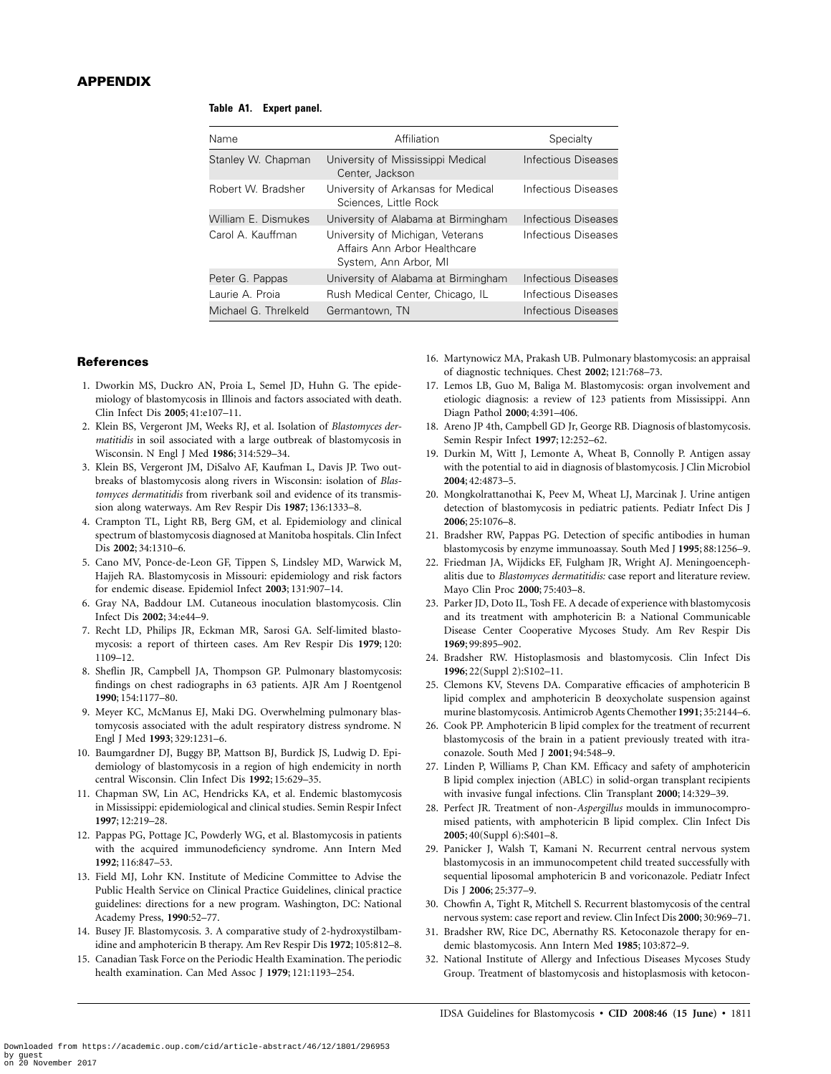#### **Table A1. Expert panel.**

| Name                 | Affiliation                                                                               | Specialty           |
|----------------------|-------------------------------------------------------------------------------------------|---------------------|
| Stanley W. Chapman   | University of Mississippi Medical<br>Center, Jackson                                      | Infectious Diseases |
| Robert W. Bradsher   | University of Arkansas for Medical<br>Sciences, Little Rock                               | Infectious Diseases |
| William E. Dismukes  | University of Alabama at Birmingham                                                       | Infectious Diseases |
| Carol A. Kauffman    | University of Michigan, Veterans<br>Affairs Ann Arbor Healthcare<br>System, Ann Arbor, MI | Infectious Diseases |
| Peter G. Pappas      | University of Alabama at Birmingham                                                       | Infectious Diseases |
| Laurie A. Proia      | Rush Medical Center, Chicago, IL                                                          | Infectious Diseases |
| Michael G. Threlkeld | Germantown, TN                                                                            | Infectious Diseases |

#### **References**

- 1. Dworkin MS, Duckro AN, Proia L, Semel JD, Huhn G. The epidemiology of blastomycosis in Illinois and factors associated with death. Clin Infect Dis **2005**; 41:e107–11.
- 2. Klein BS, Vergeront JM, Weeks RJ, et al. Isolation of *Blastomyces dermatitidis* in soil associated with a large outbreak of blastomycosis in Wisconsin. N Engl J Med **1986**; 314:529–34.
- 3. Klein BS, Vergeront JM, DiSalvo AF, Kaufman L, Davis JP. Two outbreaks of blastomycosis along rivers in Wisconsin: isolation of *Blastomyces dermatitidis* from riverbank soil and evidence of its transmission along waterways. Am Rev Respir Dis **1987**; 136:1333–8.
- 4. Crampton TL, Light RB, Berg GM, et al. Epidemiology and clinical spectrum of blastomycosis diagnosed at Manitoba hospitals. Clin Infect Dis **2002**; 34:1310–6.
- 5. Cano MV, Ponce-de-Leon GF, Tippen S, Lindsley MD, Warwick M, Hajjeh RA. Blastomycosis in Missouri: epidemiology and risk factors for endemic disease. Epidemiol Infect **2003**; 131:907–14.
- 6. Gray NA, Baddour LM. Cutaneous inoculation blastomycosis. Clin Infect Dis **2002**; 34:e44–9.
- 7. Recht LD, Philips JR, Eckman MR, Sarosi GA. Self-limited blastomycosis: a report of thirteen cases. Am Rev Respir Dis **1979**; 120: 1109–12.
- 8. Sheflin JR, Campbell JA, Thompson GP. Pulmonary blastomycosis: findings on chest radiographs in 63 patients. AJR Am J Roentgenol **1990**; 154:1177–80.
- 9. Meyer KC, McManus EJ, Maki DG. Overwhelming pulmonary blastomycosis associated with the adult respiratory distress syndrome. N Engl J Med **1993**; 329:1231–6.
- 10. Baumgardner DJ, Buggy BP, Mattson BJ, Burdick JS, Ludwig D. Epidemiology of blastomycosis in a region of high endemicity in north central Wisconsin. Clin Infect Dis **1992**; 15:629–35.
- 11. Chapman SW, Lin AC, Hendricks KA, et al. Endemic blastomycosis in Mississippi: epidemiological and clinical studies. Semin Respir Infect **1997**; 12:219–28.
- 12. Pappas PG, Pottage JC, Powderly WG, et al. Blastomycosis in patients with the acquired immunodeficiency syndrome. Ann Intern Med **1992**; 116:847–53.
- 13. Field MJ, Lohr KN. Institute of Medicine Committee to Advise the Public Health Service on Clinical Practice Guidelines, clinical practice guidelines: directions for a new program. Washington, DC: National Academy Press, **1990**:52–77.
- 14. Busey JF. Blastomycosis. 3. A comparative study of 2-hydroxystilbamidine and amphotericin B therapy. Am Rev Respir Dis **1972**; 105:812–8.
- 15. Canadian Task Force on the Periodic Health Examination. The periodic health examination. Can Med Assoc J **1979**; 121:1193–254.
- 16. Martynowicz MA, Prakash UB. Pulmonary blastomycosis: an appraisal of diagnostic techniques. Chest **2002**; 121:768–73.
- 17. Lemos LB, Guo M, Baliga M. Blastomycosis: organ involvement and etiologic diagnosis: a review of 123 patients from Mississippi. Ann Diagn Pathol **2000**; 4:391–406.
- 18. Areno JP 4th, Campbell GD Jr, George RB. Diagnosis of blastomycosis. Semin Respir Infect **1997**; 12:252–62.
- 19. Durkin M, Witt J, Lemonte A, Wheat B, Connolly P. Antigen assay with the potential to aid in diagnosis of blastomycosis. J Clin Microbiol **2004**; 42:4873–5.
- 20. Mongkolrattanothai K, Peev M, Wheat LJ, Marcinak J. Urine antigen detection of blastomycosis in pediatric patients. Pediatr Infect Dis J **2006**; 25:1076–8.
- 21. Bradsher RW, Pappas PG. Detection of specific antibodies in human blastomycosis by enzyme immunoassay. South Med J **1995**; 88:1256–9.
- 22. Friedman JA, Wijdicks EF, Fulgham JR, Wright AJ. Meningoencephalitis due to *Blastomyces dermatitidis:* case report and literature review. Mayo Clin Proc **2000**; 75:403–8.
- 23. Parker JD, Doto IL, Tosh FE. A decade of experience with blastomycosis and its treatment with amphotericin B: a National Communicable Disease Center Cooperative Mycoses Study. Am Rev Respir Dis **1969**; 99:895–902.
- 24. Bradsher RW. Histoplasmosis and blastomycosis. Clin Infect Dis **1996**; 22(Suppl 2):S102–11.
- 25. Clemons KV, Stevens DA. Comparative efficacies of amphotericin B lipid complex and amphotericin B deoxycholate suspension against murine blastomycosis. Antimicrob Agents Chemother **1991**; 35:2144–6.
- 26. Cook PP. Amphotericin B lipid complex for the treatment of recurrent blastomycosis of the brain in a patient previously treated with itraconazole. South Med J **2001**; 94:548–9.
- 27. Linden P, Williams P, Chan KM. Efficacy and safety of amphotericin B lipid complex injection (ABLC) in solid-organ transplant recipients with invasive fungal infections. Clin Transplant **2000**; 14:329–39.
- 28. Perfect JR. Treatment of non-*Aspergillus* moulds in immunocompromised patients, with amphotericin B lipid complex. Clin Infect Dis **2005**; 40(Suppl 6):S401–8.
- 29. Panicker J, Walsh T, Kamani N. Recurrent central nervous system blastomycosis in an immunocompetent child treated successfully with sequential liposomal amphotericin B and voriconazole. Pediatr Infect Dis J **2006**; 25:377–9.
- 30. Chowfin A, Tight R, Mitchell S. Recurrent blastomycosis of the central nervous system: case report and review. Clin Infect Dis **2000**; 30:969–71.
- 31. Bradsher RW, Rice DC, Abernathy RS. Ketoconazole therapy for endemic blastomycosis. Ann Intern Med **1985**; 103:872–9.
- 32. National Institute of Allergy and Infectious Diseases Mycoses Study Group. Treatment of blastomycosis and histoplasmosis with ketocon-